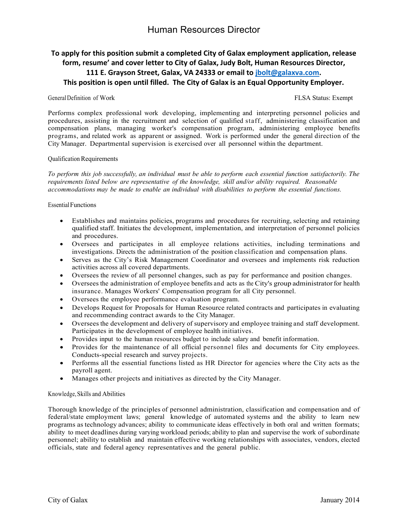## Human Resources Director

### **To apply for this position submit a completed City of Galax employment application, release form, resume' and cover letter to City of Galax, Judy Bolt, Human Resources Director, 111 E. Grayson Street, Galax, VA 24333 or email to jbolt@galaxva.com. This position is open until filled. The City of Galax is an Equal Opportunity Employer.**

#### General Definition of Work **FLSA** Status: Exempt

Performs complex professional work developing, implementing and interpreting personnel policies and procedures, assisting in the recruitment and selection of qualified staff, administering classification and compensation plans, managing worker's compensation program, administering employee benefits programs, and related work as apparent or assigned. Work is performed under the general direction of the City Manager. Departmental supervision is exercised over all personnel within the department.

#### Qualification Requirements

*To perform this job successfully, an individual must be able to perform each essential function satisfactorily. The requirements listed below are representative of the knowledge, skill and/or ability required. Reasonable accommodations may be made to enable an individual with disabilities to perform the essential functions.*

EssentialFunctions

- Establishes and maintains policies, programs and procedures for recruiting, selecting and retaining qualified staff. Initiates the development, implementation, and interpretation of personnel policies and procedures.
- Oversees and participates in all employee relations activities, including terminations and investigations. Directs the administration of the position classification and compensation plans.
- Serves as the City's Risk Management Coordinator and oversees and implements risk reduction activities across all covered departments.
- Oversees the review of all personnel changes, such as pay for performance and position changes.
- Oversees the administration of employee benefits and acts as the City's group administrator for health insurance. Manages Workers' Compensation program for all City personnel.
- Oversees the employee performance evaluation program.
- Develops Request for Proposals for Human Resource related contracts and participates in evaluating and recommending contract awards to the City Manager.
- Oversees the development and delivery of supervisory and employee training and staff development. Participates in the development of employee health initiatives.
- Provides input to the human resources budget to include salary and benefit information.
- Provides for the maintenance of all official personnel files and documents for City employees. Conducts-special research and survey projects.
- Performs all the essential functions listed as HR Director for agencies where the City acts as the payroll agent.
- Manages other projects and initiatives as directed by the City Manager.

#### Knowledge, Skills and Abilities

Thorough knowledge of the principles of personnel administration, classification and compensation and of federal/state employment laws; general knowledge of automated systems and the ability to learn new programs as technology advances; ability to communicate ideas effectively in both oral and written formats; ability to meet deadlines during varying workload periods; ability to plan and supervise the work of subordinate personnel; ability to establish and maintain effective working relationships with associates, vendors, elected officials, state and federal agency representatives and the general public.